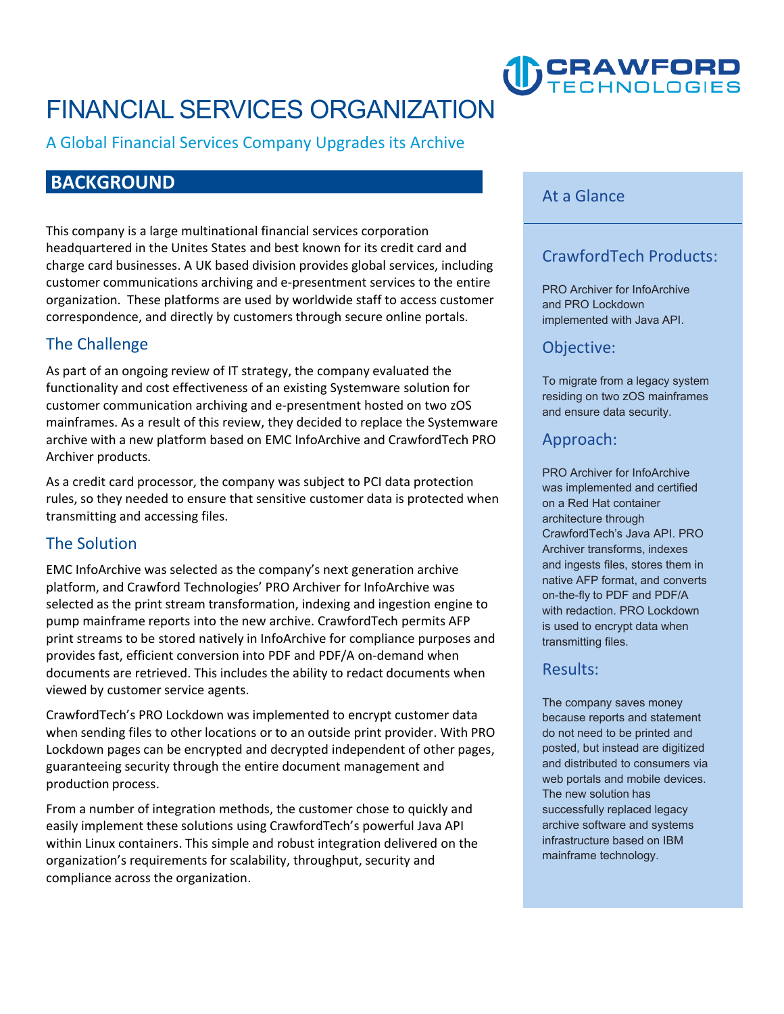# **FINANCIAL SERVICES ORGANIZATION**

**A Global Financial Services Company Upgrades its Archive**

# **BACKGROUND**

**This company is a large multinational financial services corporation headquartered in the Unites States and best known for its credit card and charge card businesses. A UK based division provides global services, including customer communications archiving and e-presentment services to the entire organization. These platforms are used by worldwide staff to access customer correspondence, and directly by customers through secure online portals.** 

# **The Challenge**

**As part of an ongoing review of IT strategy, the company evaluated the functionality and cost effectiveness of an existing Systemware solution for customer communication archiving and e-presentment hosted on two zOS mainframes. As a result of this review, they decided to replace the Systemware archive with a new platform based on EMC InfoArchive and CrawfordTech PRO Archiver products.** 

**As a credit card processor, the company was subject to PCI data protection rules, so they needed to ensure that sensitive customer data is protected when transmitting and accessing files.** 

# **The Solution**

**EMC InfoArchive was selected as the company's next generation archive platform, and Crawford Technologies' PRO Archiver for InfoArchive was selected as the print stream transformation, indexing and ingestion engine to pump mainframe reports into the new archive. CrawfordTech permits AFP print streams to be stored natively in InfoArchive for compliance purposes and provides fast, efficient conversion into PDF and PDF/A on-demand when documents are retrieved. This includes the ability to redact documents when viewed by customer service agents.** 

**CrawfordTech's PRO Lockdown was implemented to encrypt customer data when sending files to other locations or to an outside print provider. With PRO Lockdown pages can be encrypted and decrypted independent of other pages, guaranteeing security through the entire document management and production process.** 

**From a number of integration methods, the customer chose to quickly and easily implement these solutions using CrawfordTech's powerful Java API within Linux containers. This simple and robust integration delivered on the organization's requirements for scalability, throughput, security and compliance across the organization.**

#### **At a Glance**

### **CrawfordTech Products:**

**DCRAWFORD** 

**PRO Archiver for InfoArchive and PRO Lockdown implemented with Java API.**

#### **Objective:**

**To migrate from a legacy system residing on two zOS mainframes and ensure data security.**

#### **Approach:**

**PRO Archiver for InfoArchive was implemented and certified on a Red Hat container architecture through CrawfordTech's Java API. PRO Archiver transforms, indexes and ingests files, stores them in native AFP format, and converts on-the-fly to PDF and PDF/A with redaction. PRO Lockdown is used to encrypt data when transmitting files.**

#### **Results:**

**The company saves money because reports and statement do not need to be printed and posted, but instead are digitized and distributed to consumers via web portals and mobile devices. The new solution has successfully replaced legacy archive software and systems infrastructure based on IBM mainframe technology.**